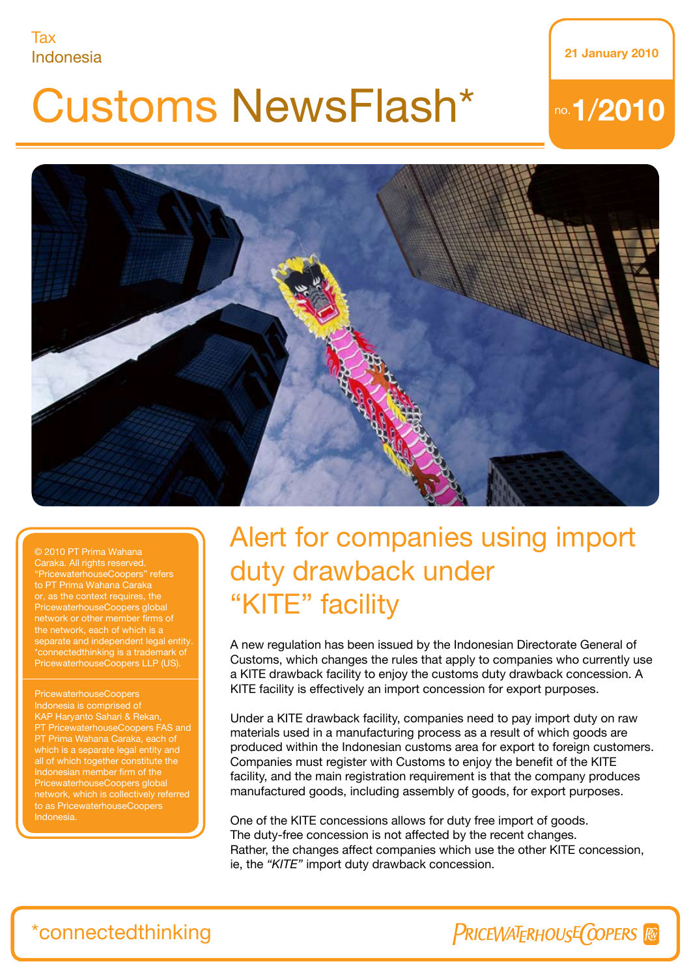#### Tax Indonesia 21 January 2010

# Customs NewsFlash\*

## no.1/2010



Caraka. All rights reserved. "PricewaterhouseCoopers" refers or, as the context requires, the PricewaterhouseCoopers global network or other member firms of separate and independent legal entity. connectedthinking is a trademark of PricewaterhouseCoopers LLP (US).

PricewaterhouseCoopers KAP Haryanto Sahari & Rekan, PT PricewaterhouseCoopers FAS and which is a separate legal entity and all of which together constitute the Indonesian member firm of the PricewaterhouseCoopers global network, which is collectively referred to as PricewaterhouseCoopers Indonesia.

## Alert for companies using import duty drawback under "KITE" facility

A new regulation has been issued by the Indonesian Directorate General of Customs, which changes the rules that apply to companies who currently use a KITE drawback facility to enjoy the customs duty drawback concession. A KITE facility is effectively an import concession for export purposes.

Under a KITE drawback facility, companies need to pay import duty on raw materials used in a manufacturing process as a result of which goods are produced within the Indonesian customs area for export to foreign customers. Companies must register with Customs to enjoy the benefit of the KITE facility, and the main registration requirement is that the company produces manufactured goods, including assembly of goods, for export purposes.

One of the KITE concessions allows for duty free import of goods. The duty-free concession is not affected by the recent changes. Rather, the changes affect companies which use the other KITE concession, ie, the *"KITE"* import duty drawback concession.

### \*connectedthinking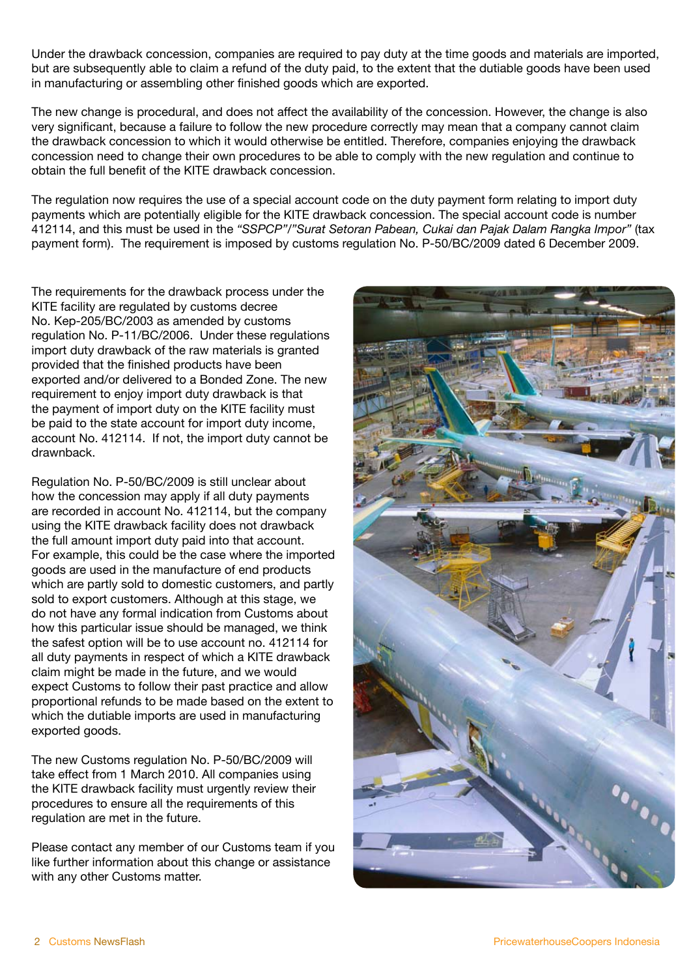Under the drawback concession, companies are required to pay duty at the time goods and materials are imported, but are subsequently able to claim a refund of the duty paid, to the extent that the dutiable goods have been used in manufacturing or assembling other finished goods which are exported.

The new change is procedural, and does not affect the availability of the concession. However, the change is also very significant, because a failure to follow the new procedure correctly may mean that a company cannot claim the drawback concession to which it would otherwise be entitled. Therefore, companies enjoying the drawback concession need to change their own procedures to be able to comply with the new regulation and continue to obtain the full benefit of the KITE drawback concession.

The regulation now requires the use of a special account code on the duty payment form relating to import duty payments which are potentially eligible for the KITE drawback concession. The special account code is number 412114, and this must be used in the *"SSPCP"/"Surat Setoran Pabean, Cukai dan Pajak Dalam Rangka Impor"* (tax payment form). The requirement is imposed by customs regulation No. P-50/BC/2009 dated 6 December 2009.

The requirements for the drawback process under the KITE facility are regulated by customs decree No. Kep-205/BC/2003 as amended by customs regulation No. P-11/BC/2006. Under these regulations import duty drawback of the raw materials is granted provided that the finished products have been exported and/or delivered to a Bonded Zone. The new requirement to enjoy import duty drawback is that the payment of import duty on the KITE facility must be paid to the state account for import duty income, account No. 412114. If not, the import duty cannot be drawnback.

Regulation No. P-50/BC/2009 is still unclear about how the concession may apply if all duty payments are recorded in account No. 412114, but the company using the KITE drawback facility does not drawback the full amount import duty paid into that account. For example, this could be the case where the imported goods are used in the manufacture of end products which are partly sold to domestic customers, and partly sold to export customers. Although at this stage, we do not have any formal indication from Customs about how this particular issue should be managed, we think the safest option will be to use account no. 412114 for all duty payments in respect of which a KITE drawback claim might be made in the future, and we would expect Customs to follow their past practice and allow proportional refunds to be made based on the extent to which the dutiable imports are used in manufacturing exported goods.

The new Customs regulation No. P-50/BC/2009 will take effect from 1 March 2010. All companies using the KITE drawback facility must urgently review their procedures to ensure all the requirements of this regulation are met in the future.

Please contact any member of our Customs team if you like further information about this change or assistance with any other Customs matter.